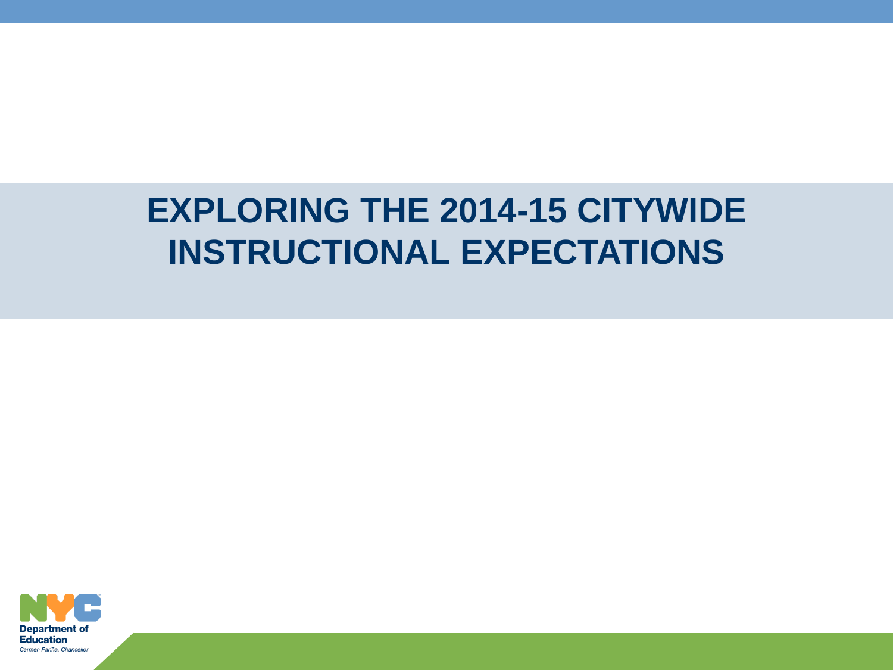### **EXPLORING THE 2014-15 CITYWIDE INSTRUCTIONAL EXPECTATIONS**

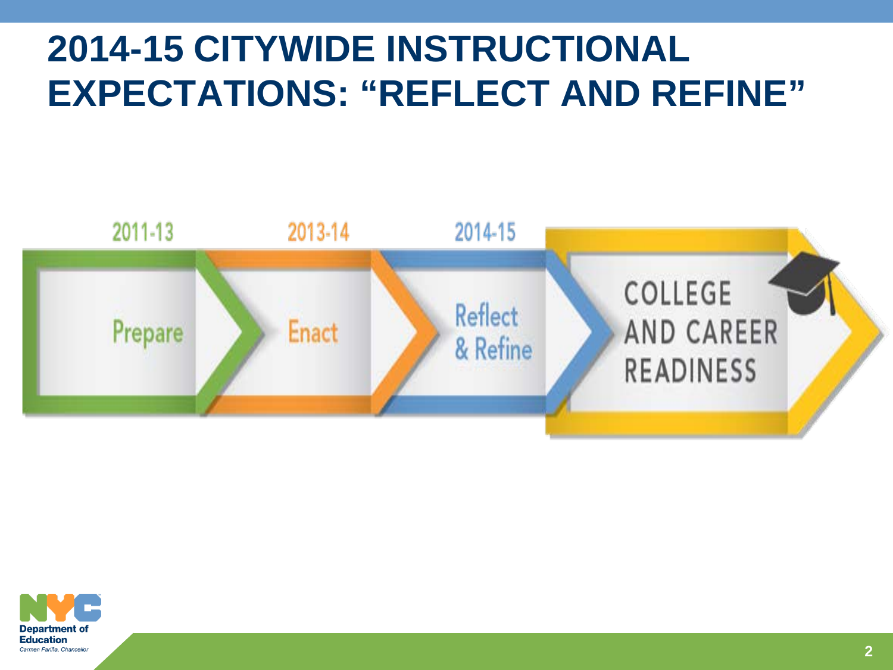### **2014-15 CITYWIDE INSTRUCTIONAL EXPECTATIONS: "REFLECT AND REFINE"**



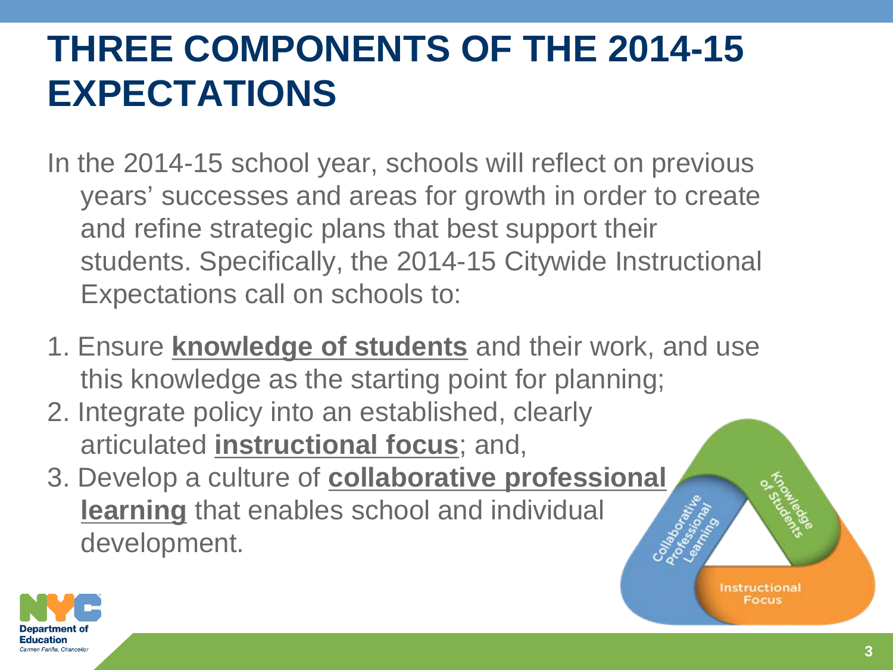# **THREE COMPONENTS OF THE 2014-15 EXPECTATIONS**

In the 2014-15 school year, schools will reflect on previous years' successes and areas for growth in order to create and refine strategic plans that best support their students. Specifically, the 2014-15 Citywide Instructional Expectations call on schools to:

- 1. Ensure **knowledge of students** and their work, and use this knowledge as the starting point for planning;
- 2. Integrate policy into an established, clearly articulated **instructional focus**; and,
- 3. Develop a culture of **collaborative professional learning** that enables school and individual development.



**Instructional** Focus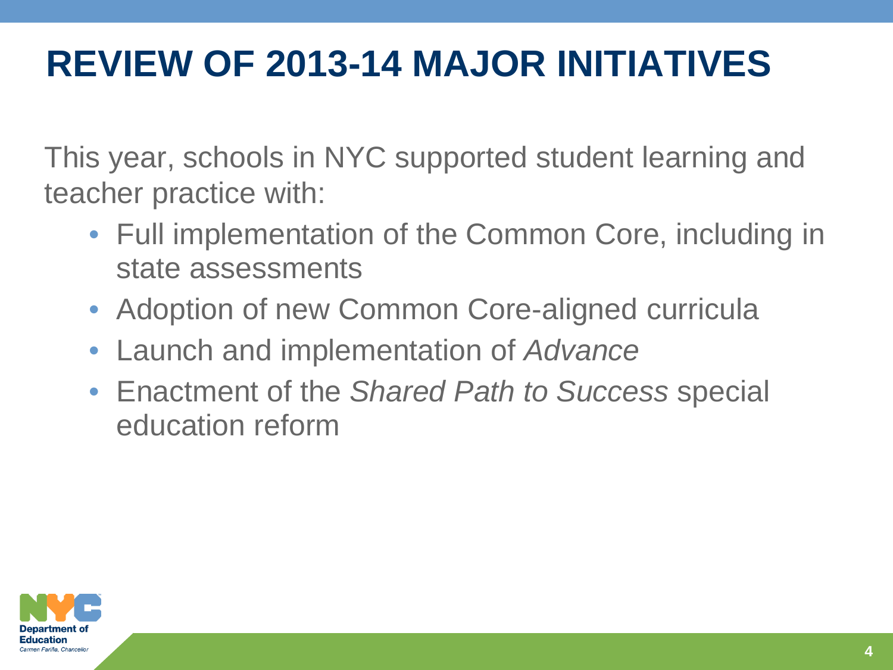### **REVIEW OF 2013-14 MAJOR INITIATIVES**

This year, schools in NYC supported student learning and teacher practice with:

- Full implementation of the Common Core, including in state assessments
- Adoption of new Common Core-aligned curricula
- Launch and implementation of *Advance*
- Enactment of the *Shared Path to Success* special education reform

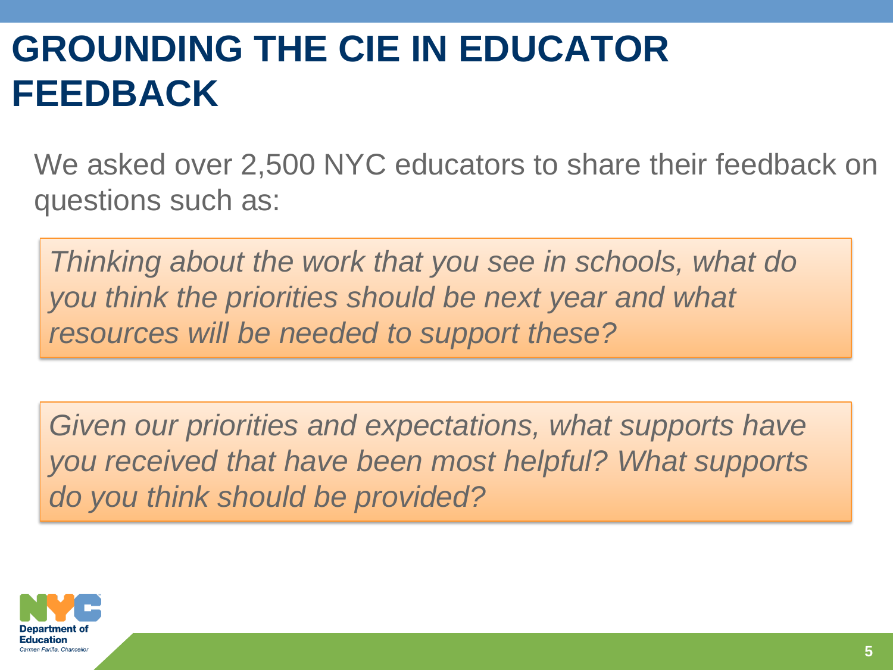### **GROUNDING THE CIE IN EDUCATOR FEEDBACK**

We asked over 2,500 NYC educators to share their feedback on questions such as:

*Thinking about the work that you see in schools, what do you think the priorities should be next year and what resources will be needed to support these?*

Given our priorities and expectations, what supports have *you received that have been most helpful? What supports do you think should be provided?*

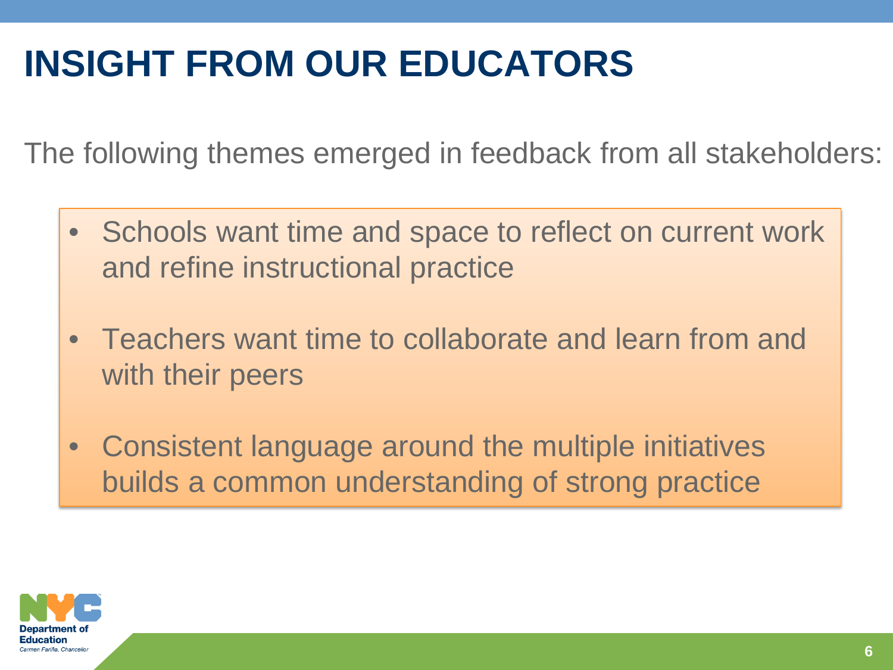# **INSIGHT FROM OUR EDUCATORS**

The following themes emerged in feedback from all stakeholders:

- Schools want time and space to reflect on current work and refine instructional practice
- Teachers want time to collaborate and learn from and with their peers
- Consistent language around the multiple initiatives builds a common understanding of strong practice

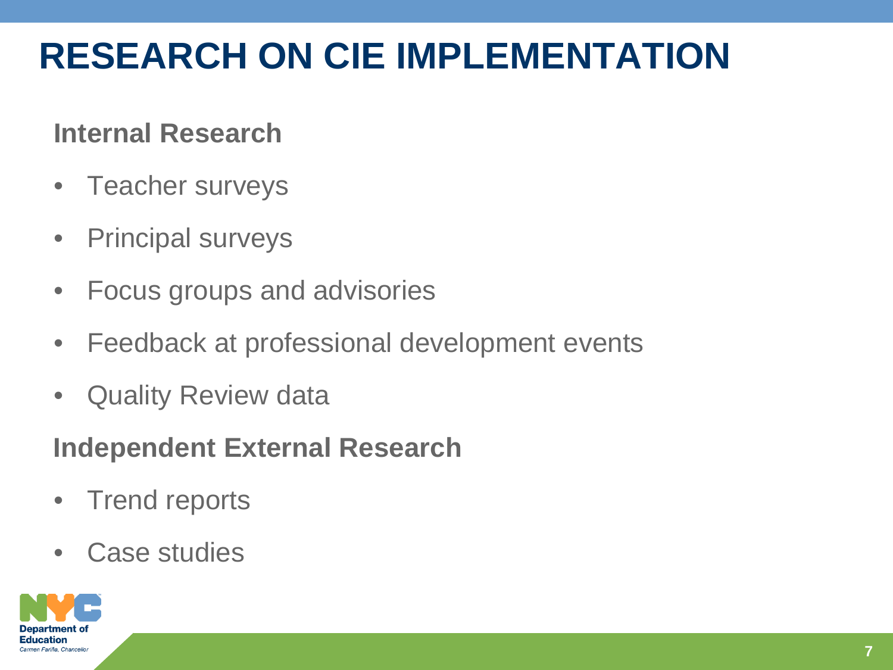### **RESEARCH ON CIE IMPLEMENTATION**

#### **Internal Research**

- Teacher surveys
- Principal surveys
- Focus groups and advisories
- Feedback at professional development events
- Quality Review data

### **Independent External Research**

- **Trend reports**
- Case studies

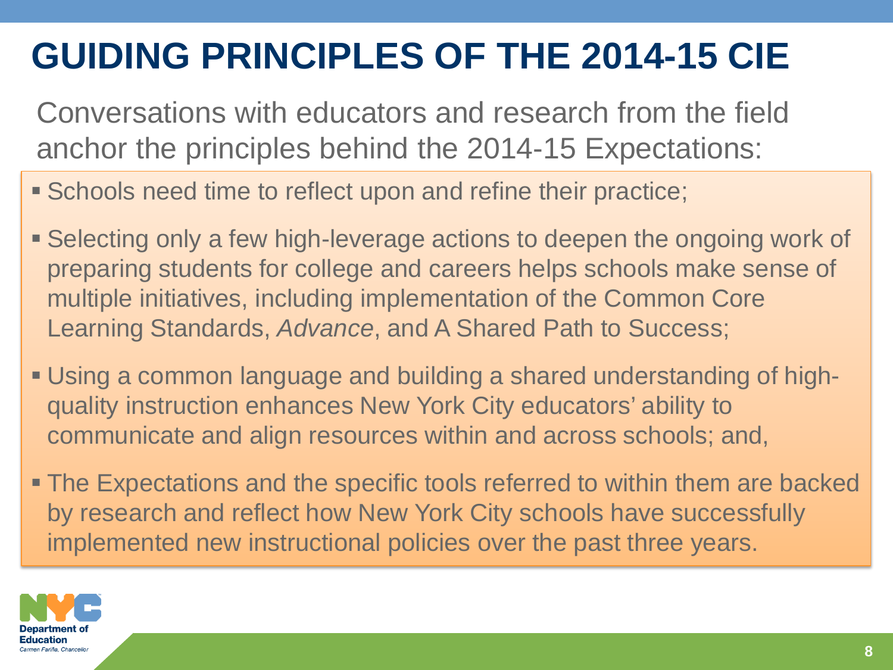### **GUIDING PRINCIPLES OF THE 2014-15 CIE**

Conversations with educators and research from the field anchor the principles behind the 2014-15 Expectations:

- **Schools need time to reflect upon and refine their practice;**
- Selecting only a few high-leverage actions to deepen the ongoing work of preparing students for college and careers helps schools make sense of multiple initiatives, including implementation of the Common Core Learning Standards, *Advance*, and A Shared Path to Success;
- Using a common language and building a shared understanding of highquality instruction enhances New York City educators' ability to communicate and align resources within and across schools; and,
- The Expectations and the specific tools referred to within them are backed by research and reflect how New York City schools have successfully implemented new instructional policies over the past three years.

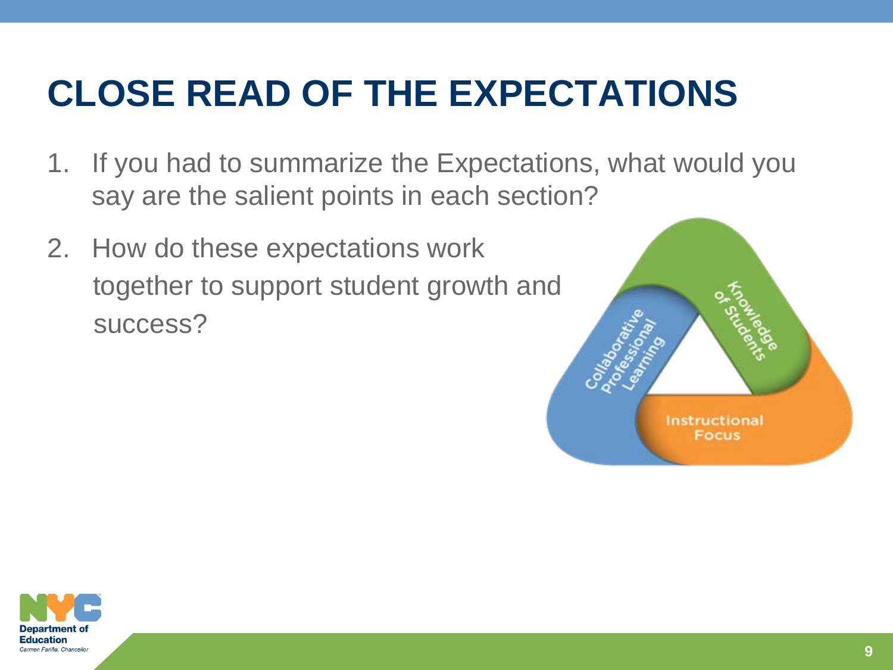### **CLOSE READ OF THE EXPECTATIONS**

- 1. If you had to summarize the Expectations, what would you say are the salient points in each section?
- 2. How do these expectations work together to support student growth and success?